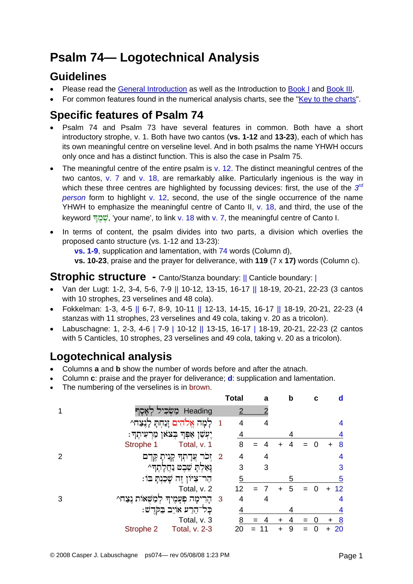# **Psalm 74— Logotechnical Analysis**

### **Guidelines**

- Please read the [General Introduction](http://www.labuschagne.nl/aspects.pdf) as well as the Introduction to [Book I](http://www.labuschagne.nl/intro1.pdf) and [Book III](http://www.labuschagne.nl/intro3.pdf).
- For common features found in the numerical analysis charts, see the "[Key to the charts](http://www.labuschagne.nl/keytocharts.pdf)".

# **Specific features of Psalm 74**

- Psalm 74 and Psalm 73 have several features in common. Both have a short introductory strophe, v. 1. Both have two cantos (**vs. 1-12** and **13-23**), each of which has its own meaningful centre on verseline level. And in both psalms the name YHWH occurs only once and has a distinct function. This is also the case in Psalm 75.
- The meaningful centre of the entire psalm is  $v$ . 12. The distinct meaningful centres of the two cantos, v. 7 and v. 18, are remarkably alike. Particularly ingenious is the way in which these three centres are highlighted by focussing devices: first, the use of the *3rd person* form to highlight v. 12, second, the use of the single occurrence of the name YHWH to emphasize the meaningful centre of Canto II, v. 18, and third, the use of the keyword שְׁמַךְ, 'your name', to link v. 18 with v. 7, the meaningful centre of Canto I.
- In terms of content, the psalm divides into two parts, a division which overlies the proposed canto structure (vs. 1-12 and 13-23):

**vs. 1-9**, supplication and lamentation, with 74 words (Column d),

**vs. 10-23**, praise and the prayer for deliverance, with **119** (7 x **17)** words (Column c).

#### **Strophic structure -** Canto/Stanza boundary: || Canticle boundary: |

- Van der Lugt: 1-2, 3-4, 5-6, 7-9 || 10-12, 13-15, 16-17 || 18-19, 20-21, 22-23 (3 cantos with 10 strophes, 23 verselines and 48 cola).
- Fokkelman: 1-3, 4-5 || 6-7, 8-9, 10-11 || 12-13, 14-15, 16-17 || 18-19, 20-21, 22-23 (4 stanzas with 11 strophes, 23 verselines and 49 cola, taking v. 20 as a tricolon).
- Labuschagne: 1, 2-3, 4-6 | 7-9 | 10-12 || 13-15, 16-17 | 18-19, 20-21, 22-23 (2 cantos with 5 Canticles, 10 strophes, 23 verselines and 49 cola, taking v. 20 as a tricolon).

# **Logotechnical analysis**

- Columns **a** and **b** show the number of words before and after the atnach.
- Column **c**: praise and the prayer for deliverance; **d**: supplication and lamentation.
- The numbering of the verselines is in brown.

|               |                                         |     | <b>Total</b> | a  | b           | с | d               |
|---------------|-----------------------------------------|-----|--------------|----|-------------|---|-----------------|
|               | Heading<br>ַמַשְׁכִּיל קְאָסֶך          |     | 2            |    |             |   |                 |
|               | לָמָה אֱלֹהִים זַנַחְתָּ לָנֶצַח^       |     | 4            |    |             |   | 4               |
|               | ַיִּעְשַׁן אַפְּךָ בְצֹאוָ מַרְעִיתֶךְ: |     |              |    | 4           |   | 4               |
|               | Total, v. 1<br>Strophe 1                |     | 8            |    |             |   | 8               |
| $\mathcal{P}$ | 2 זִכר צַדָתְךְ קְנִיתָ קֶדֶם           |     | 4            | 4  |             |   | 4               |
|               | לֹּאַלְתָ שֶׁבֶט נַחֲלְתֶךָ^            |     | 3            | 3  |             |   | 3               |
|               | ּהַר־צִיּוֹן זֶה שָׁכַנְתָּ בּוֹ        |     | 5            |    | 5           |   | 5               |
|               | Total, v. 2                             |     | 12           |    | 5<br>$\div$ | ∩ | 12<br>$\ddot{}$ |
| 3             | 'משאות נצח^<br>הַרִימָה פְעֲמֶיךָ       | - 3 | 4            | 4  |             |   | 4               |
|               | ּכָּל־הֵרַע אוֹיֵב בַּקְּדָשׁ:          |     | 4            |    |             |   |                 |
|               | Total, v. 3                             |     | 8            |    |             |   | <u>_8</u>       |
|               | Strophe 2<br><b>Total, v. 2-3</b>       |     | 20           | 11 | 9           |   | 20              |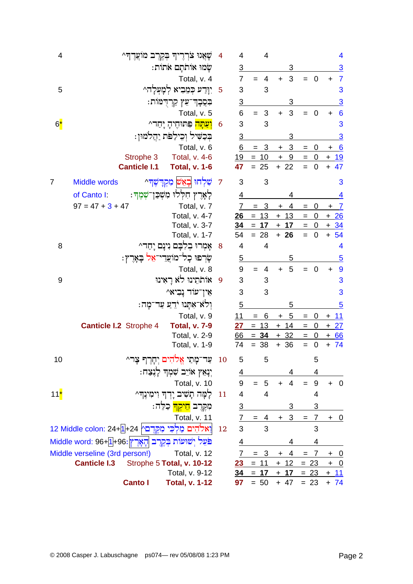| 4           | שְׂאֲנוּ צֹרְרֶיךָ בְקֶרֶב מוֹעֲדֶךָ ^                                | 4         | 4              | 4              |                             |                                | 4                                    |
|-------------|-----------------------------------------------------------------------|-----------|----------------|----------------|-----------------------------|--------------------------------|--------------------------------------|
|             | שָׂמוּ אוֹתֹתָם אֹתוֹת:                                               |           | <u>3</u>       |                | 3                           |                                | <u>3</u>                             |
|             | Total, v. 4                                                           |           | $\overline{7}$ | 4<br>$=$       | 3<br>$+$                    | $\overline{\mathbf{0}}$<br>$=$ | $\overline{7}$<br>+                  |
| 5           | יִוָּדַע כְּמֵבִיא לְמָעְלָה^                                         | 5         | 3              | 3              |                             |                                | 3                                    |
|             | בִּפְבָךְ־עֵץ קַרְדָמּוֹת:                                            |           | $\overline{3}$ |                | 3                           |                                | <u>3</u>                             |
|             | Total, v. 5                                                           |           | 6              | 3<br>$=$       | 3<br>$\ddot{}$              | $\mathbf 0$<br>$=$             | $6\phantom{1}6$<br>+                 |
| $6^{\star}$ | <mark>וִעַתָּה</mark> פִּתּוּחֵיהָ יָחַד^                             | 6         | 3              | 3              |                             |                                | 3                                    |
|             | בִּכַשִּׁיל וְכִילַפֹּת יַחֲלמוּן:                                    |           | $\overline{3}$ |                | 3                           |                                | 3                                    |
|             | Total, v. 6                                                           |           | 6              | $= 3$          | 3<br>$\ddot{}$              | 0<br>$\qquad \qquad =$         | $+6$                                 |
|             | <b>Total, v. 4-6</b><br>Strophe 3                                     |           | 19             | $= 10$         | $\pm$<br>9                  | $\overline{0}$<br>$\equiv$     | <u>+ 19</u>                          |
|             | <b>Canticle I.1</b><br><b>Total, v. 1-6</b>                           |           | 47             | $= 25$         | $+ 22$                      | $= 0$                          | $+ 47$                               |
| 7           | שִׁלְחוּ בְאֵשׁ מִקְדָשֶׁדּ^<br>Middle words                          | 7         | 3              | 3              |                             |                                | 3                                    |
|             | לָאָרֶץ חִלְלוּ מִשְׁכַּן־שְׁמֶךְ:<br>of Canto I:                     |           | <u>4</u>       |                | 4                           |                                | <u>4</u>                             |
|             | Total, v. 7<br>$97 = 47 + 3 + 47$                                     |           | $\overline{7}$ | 3<br>$=$       | 4<br>$\ddot{}$              | 0<br>$\quad =$                 | $+ 7$                                |
|             | Total, v. 4-7                                                         |           | 26             | $= 13$         | $+ 13$                      | $= 0$                          | $+26$                                |
|             | Total, v. 3-7                                                         |           | 34             | $= 17$         | 17<br>$+$                   | $=$<br>$\overline{0}$          | $+34$                                |
|             | Total, v. 1-7                                                         |           | 54             | $= 28$         | $+ 26$                      | $\overline{\mathbf{0}}$<br>$=$ | $+ 54$                               |
| 8           | אָמִרוּ בִלְבָם נִינָם יָחַד^                                         | 8         | 4              | 4              |                             |                                | $\overline{\mathbf{4}}$              |
|             | שַׂרִפוּ כָל־מוֹצֵדֵי־אֵל בְּאָרֶץ:                                   |           | $\overline{5}$ |                | 5                           |                                | $\overline{5}$                       |
|             | Total, v. 8                                                           |           | 9              | 4<br>$=$       | 5<br>$+$                    | $\mathbf 0$<br>$=$             | $\overline{9}$<br>$\ddot{}$          |
| 9           | אותתינו לא ראינו                                                      | - 9       | 3              | 3              |                             |                                | 3                                    |
|             | אֵין־עוֹד נַבִיא^                                                     |           | 3              | 3              |                             |                                | 3                                    |
|             | וְלֹאֹ־אִתָּנוּ יֹדֵעַ עַד־מָה:                                       |           | $\overline{5}$ |                | 5                           |                                | $\overline{5}$                       |
|             | Total, v. 9                                                           |           | 11             | 6<br>$=$       | $\overline{5}$<br>$\ddot{}$ | $\mathbf 0$<br>$=$             | $+ 11$                               |
|             | <b>Canticle I.2</b> Strophe 4<br><b>Total, v. 7-9</b>                 |           | 27             | $= 13$         | $+$ 14                      | $\overline{\mathbf{0}}$<br>$=$ | $+27$                                |
|             | Total, v. 2-9                                                         |           | 66             | $= 34$         | $+32$                       | $\overline{0}$<br>$=$          | $+66$                                |
|             | Total, v. 1-9                                                         |           | 74             | $= 38$         | $+36$                       | $=$<br>$\mathbf 0$             | $+ 74$                               |
| 10          | ַעַר־מָתַי אֱלֹהִים יְחָרֶף צָר^                                      | <b>10</b> | 5              | 5              |                             | 5                              |                                      |
|             | יִנְאֵץ אוֹיֵב שִׁמְךָ לְנֶצַח:                                       |           |                |                |                             | 4                              |                                      |
|             | Total, v. 10                                                          |           | 9              | $= 5$          | $\overline{4}$<br>$+$       | $\boldsymbol{9}$<br>$=$        | $\overline{\mathbf{0}}$<br>$\ddot{}$ |
| $11^*$      | לָמָּה תָשִׁיב יָדְךָ וִימִינֶךְ^                                     | 11        | 4              | $\overline{4}$ |                             | 4                              |                                      |
|             | מִקֶּרֶב <mark>הֵיקְךָ</mark> כַלֵּה:                                 |           | <u>3</u>       |                | 3                           | 3                              |                                      |
|             | Total, v. 11                                                          |           | $\overline{I}$ | $\overline{4}$ | 3<br>$+$                    | $\overline{7}$<br>$=$          | $+$ 0                                |
|             | וַאלֹהִים מַלְכִּי מִקֶּדֶםץ 24+1 <mark>+</mark> 24 Middle colon: 24+ | 12        | 3              | 3              |                             | 3                              |                                      |
|             | פֹּעֵל יְשׁוּעוֹת בְּקֶרֶב  הָאָרֶץ :96+de word: 96+[1] 96            |           |                |                |                             | 4                              |                                      |
|             | Middle verseline (3rd person!)<br>Total, v. 12                        |           | $\overline{7}$ | 3              | 4<br>$\pm$                  | $\overline{7}$<br>$=$          | $+ 0$                                |
|             | <b>Canticle I.3</b><br>Strophe 5 Total, v. 10-12                      |           | 23             | 11<br>$=$      | 12<br>$\ddagger$            | $= 23$                         | $+ 0$                                |
|             | Total, v. 9-12                                                        |           |                | $34 = 17$      | $+ 17$                      | $= 23$                         | $+11$                                |
|             | <b>Canto I</b><br><b>Total, v. 1-12</b>                               |           | 97             | $= 50$         | $+47$                       |                                | $= 23 + 74$                          |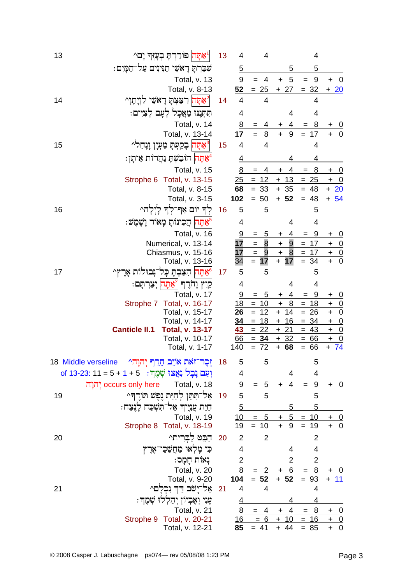| 13 | "אַתָּה  פוֹרַרִתָּ בִעֲזִךְ יָם^                                 | 13 | 4               | $\overline{4}$             |                                  | 4                |                                |
|----|-------------------------------------------------------------------|----|-----------------|----------------------------|----------------------------------|------------------|--------------------------------|
|    | שִׁבַּרְתָּ רְאֹשֵׁי תַגִּינִים עַל־הַמָּיִם:                     |    | $\overline{5}$  |                            | 5                                | 5                |                                |
|    | Total, v. 13                                                      |    | 9               | 4<br>$=$                   | 5<br>$\ddot{}$                   | $9\,$<br>$=$     | $+ 0$                          |
|    | Total, v. 8-13                                                    |    | 52              | $= 25$                     | $+27$                            | $= 32$           | $+20$                          |
| 14 | אַתָּה  רִצַּצְתָ רָאֹשֵׁי לִוְיָתָן <i>^</i>                     | 14 | $\overline{4}$  | $\overline{4}$             |                                  | 4                |                                |
|    | תִּתְנִנוּ מַאֲכָל לְעָם לְצִיִּים:                               |    | $\overline{4}$  |                            | 4                                | <u>4</u>         |                                |
|    | Total, v. 14                                                      |    | 8               | 4<br>=                     | 4<br>+                           | $\overline{8}$   | <u>+ 0</u>                     |
|    | Total, v. 13-14                                                   |    | 17              | $=$<br>8                   | $+ 9$                            | $= 17$           | $+ 0$                          |
| 15 | ّצּתָּה בְקַעְּתָ מַעְיָן וָנְחַל^                                | 15 | 4               | $\overline{4}$             |                                  | 4                |                                |
|    | *אַתָּה  הוֹבַשְׁתָ נַהֲרוֹת אִיתָן.                              |    | 4               |                            | 4                                | 4                |                                |
|    | Total, v. 15                                                      |    | <u>8</u>        | 4                          | 4                                | <u>8</u>         | $\overline{\phantom{0}}$<br>+  |
|    | Total, v. 13-15<br>Strophe 6                                      |    | 25              | $= 12$                     | 13<br>$+$                        | $= 25$           | $+ 0$                          |
|    | Total, v. 8-15                                                    |    | 68              | $= 33$                     | $+35$                            | $= 48$           | $+20$                          |
|    | Total, v. 3-15                                                    |    | 102             | $= 50$                     | $+ 52$                           | $= 48$           | $+ 54$                         |
| 16 | לְךָ יוֹם אַף־לִךְ לָיִלָה^                                       | 16 | 5               | 5                          |                                  | 5                |                                |
|    | ֿאַתָּה  הֲכִינוֹתָ מָאוֹר וָשָׁמֶשׁ:                             |    | <u>4</u>        |                            | 4                                | 4                |                                |
|    | Total, v. 16                                                      |    | 9               | <u>5</u><br>$=$            | 4<br>$+$                         | <u>9</u><br>$=$  | $+ 0$                          |
|    | Numerical, v. 13-14                                               |    | 17              | $\overline{8}$<br>$=$ $\,$ | $\overline{9}$<br>$\overline{+}$ | $= 17$           | $+ 0$                          |
|    | Chiasmus, v. 15-16                                                |    | 17              | $\equiv$<br>$\overline{9}$ | 8<br>$\pm$                       | $\equiv$<br>17   | $\frac{+}{+}$                  |
|    | Total, v. 13-16                                                   |    | 34              | $=$<br>17                  | $+ 17$                           | $= 34$           |                                |
| 17 | 6מתה הצבת כל־נבולות ארץ^                                          | 17 | 5               | 5                          |                                  | 5                |                                |
|    | קיץ וָחרֶך <i>   צ</i> ּתְּה יִצַּרְתַּם:                         |    | <u>4</u>        |                            | 4                                | 4                |                                |
|    | Total, v. 17                                                      |    | 9               | 5<br>$=$                   | 4<br>+                           | 9<br>$=$         | $\overline{0}$<br>+            |
|    | Strophe 7 Total, v. 16-17                                         |    | 18              | $= 10$                     | 8<br>$\ddot{}$                   | 18<br>$=$        | $\overline{0}$<br>$+$          |
|    | Total, v. 15-17                                                   |    | 26              | 12<br>$=$<br>$= 18$        | $+ 14$                           | $= 26$           | $\overline{0}$<br>$\pm$        |
|    | Total, v. 14-17<br><b>Canticle II.1</b><br><b>Total, v. 13-17</b> |    | 34<br><u>43</u> | 22<br>$=$                  | 16<br>$+$<br><u>21</u><br>$+$    | $= 34$<br>$= 43$ | $\overline{0}$<br>$+$<br>$+ 0$ |
|    | Total, v. 10-17                                                   |    | 66              | $= 34$                     | $+32$                            | $= 66$           | $+ 0$                          |
|    | Total, v. 1-17                                                    |    | 140             | $= 72$                     | $+ 68$                           | $= 66$           | $+ 74$                         |
|    | זְכָר־זאת אויֵב חֵרֵף יְהוָהי Middle verseline 18                 | 18 | 5               | 5                          |                                  | 5                |                                |
|    | וְעַם נָבָל וְאֲצוּ שְׁמֶךְ:   5 + 1 + 5 = 11 :623: 11            |    | $\overline{4}$  |                            | 4                                | 4                |                                |
|    | occurs only here יָהוַה<br>Total, v. 18                           |    | 9               | $\mathbf 5$<br>$=$         | 4<br>$\ddot{}$                   | $\boldsymbol{9}$ | $+ 0$                          |
| 19 | אַל־תִּתֵן לְחַיַּת נִפְשׁ תּוֹרֵךְּ^                             | 19 | 5               | 5                          |                                  | 5                |                                |
|    | חַיַּת עֲנִיִּיךְ אַל־תִּשְׁכַּח לָנֵצַח:                         |    | $\overline{5}$  |                            | 5                                | 5                |                                |
|    | Total, v. 19                                                      |    | 10              | $= 5$                      | $+5$                             | $= 10$           |                                |
|    | Strophe 8 Total, v. 18-19                                         |    | 19              | $= 10$                     | $\ddot{}$<br>9                   | 19<br>$=$        | $\frac{+}{+}$ 0                |
| 20 | הִבֵּט לַבִּרִיתֵי                                                | 20 | $\overline{2}$  | $\overline{2}$             |                                  | $\overline{2}$   |                                |
|    | כִּי מָלְאוּ מַחֲשָׁכֵי־אֶרֶץ                                     |    | 4               |                            | 4                                | 4                |                                |
|    | נִאוֹת חַמָּס:                                                    |    | $\overline{2}$  |                            | 2                                | $\overline{2}$   |                                |
|    | Total, v. 20                                                      |    | 8               | $= 2$                      | $-6$<br>$\ddot{}$                | 8<br>$=$         |                                |
|    | Total, v. 9-20                                                    |    | 104             | $= 52$                     | $+ 52$                           | 93<br>$=$        | 11<br>$\ddot{}$                |
| 21 | אַל־יַשׁׁב דַּדְ נִכְלַם^                                         | 21 | 4               | 4                          |                                  | 4                |                                |
|    | עָנִי וְאֶבְיוֹן יְהַלְלוּ שְׁמֶךְ:                               |    | <u>4</u>        |                            | 4                                | <u>4</u>         |                                |
|    | Total, v. 21                                                      |    | 8               | $= 4$                      | $+ 4$                            | $= 8$            | $+ 0$                          |
|    | Strophe 9 Total, v. 20-21                                         |    | 16              | $= 6$                      | $+$<br>10                        | $= 16$           | $+ 0$                          |
|    | Total, v. 12-21                                                   |    | 85              | $= 41$                     | $+ 44$                           | $= 85$           | $+ 0$                          |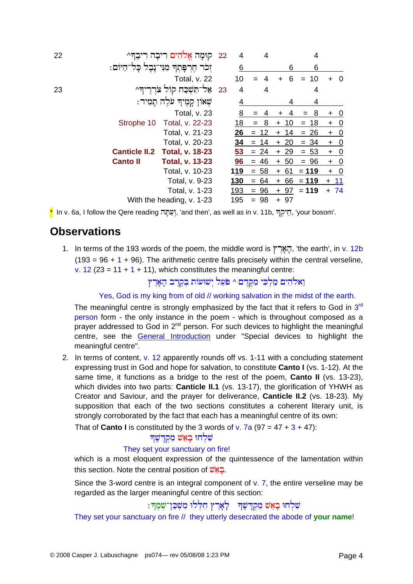| 22 |                                         | קוּמַה אֵלהִים רִיבָה רִיבֵדִּ^    | 22 | 4          | 4          |           | 4         |                                      |
|----|-----------------------------------------|------------------------------------|----|------------|------------|-----------|-----------|--------------------------------------|
|    | ּהֵרִפַּתִךְ מִנִּי־נָבָל כַּל־הַיּוֹם: |                                    |    | 6          |            | 6         | 6         |                                      |
|    |                                         | Total, v. 22                       |    | 10         |            | 6         | 10<br>$=$ | - 0<br>$+$                           |
| 23 |                                         | 23 אַל־תִּשָּׁבַּח קוֹל צֹרְרֶיךָ^ |    | 4          | 4          |           | 4         |                                      |
|    |                                         | שְׁאוֹן קְמֶיךְ עֹלֶה תַמִיד:      |    | 4          |            | 4         | 4         |                                      |
|    |                                         | Total, v. 23                       |    | <u>8</u>   |            | 4         | 8<br>$=$  | $\overline{\mathbf{0}}$<br>$\ddot{}$ |
|    | Strophe 10                              | Total, v. 22-23                    |    | 18         | 8          | 10<br>$+$ | $= 18$    | $\overline{0}$<br>$\ddot{}$          |
|    |                                         | Total, v. 21-23                    |    | 26         | 12<br>$=$  | 14<br>$+$ | $= 26$    | $+ 0$                                |
|    |                                         | Total, v. 20-23                    |    | 34         | -14<br>$=$ | 20<br>$+$ | $= 34$    | $\overline{\mathbf{0}}$<br>$\ddot{}$ |
|    | <b>Canticle II.2</b>                    | <b>Total, v. 18-23</b>             |    | 53         | $= 24$     | $+29$     | $= 53$    | $+ 0$                                |
|    | <b>Canto II</b>                         | <b>Total, v. 13-23</b>             |    | 96         | 46<br>$=$  | $+ 50$    | $= 96$    | $+ 0$                                |
|    |                                         | Total, v. 10-23                    |    | 119        | $= 58$     | 61<br>$+$ | $= 119$   | $+ 0$                                |
|    |                                         | Total, v. 9-23                     |    | <u>130</u> | $= 64$     | 66<br>$+$ | $= 119$   | $+ 11$                               |
|    |                                         | Total, v. 1-23                     |    | 193        | 96<br>$=$  | $+97$     | $= 119$   | $+ 74$                               |
|    |                                         | With the heading, v. 1-23          |    | 195        | $= 98$     | $+97$     |           |                                      |

\* In v. 6a, I follow the Qere reading וָעֲתָּה, 'and then', as well as in v. 11b, יְחֵיקְךְ, 'your bosom'.

### **Observations**

1. In terms of the 193 words of the poem, the middle word is הָאָרֵץ, 'the earth', in v. 12b  $(193 = 96 + 1 + 96)$ . The arithmetic centre falls precisely within the central verseline, v. 12 (23 = 11 + 1 + 11), which constitutes the meaningful centre:

וֵאלֹהִים מַלִכִּי מִקְרֵם ^ פֹּעֵל יִשׁוּעוֹת בִּקְרֵב הָאָרֶץ

Yes, God is my king from of old // working salvation in the midst of the earth.

The meaningful centre is strongly emphasized by the fact that it refers to God in  $3<sup>rd</sup>$ person form - the only instance in the poem - which is throughout composed as a prayer addressed to God in 2<sup>nd</sup> person. For such devices to highlight the meaningful centre, see the **General Introduction** under "Special devices to highlight the meaningful centre".

2. In terms of content, v. 12 apparently rounds off vs. 1-11 with a concluding statement expressing trust in God and hope for salvation, to constitute Canto I (vs. 1-12). At the same time, it functions as a bridge to the rest of the poem, **Canto II** (vs. 13-23), which divides into two parts: **Canticle II.1** (vs. 13-17), the glorification of YHWH as Creator and Saviour, and the prayer for deliverance, Canticle II.2 (vs. 18-23). My supposition that each of the two sections constitutes a coherent literary unit, is strongly corroborated by the fact that each has a meaningful centre of its own:

That of **Canto I** is constituted by the 3 words of v. 7a (97 =  $47 + 3 + 47$ ):

#### שלחו באש מקדשה

#### They set your sanctuary on fire!

which is a most eloquent expression of the quintessence of the lamentation within this section. Note the central position of שמש

Since the 3-word centre is an integral component of  $v$ . 7, the entire verseline may be regarded as the larger meaningful centre of this section:

## שִׁלְחוּ בְאֵשׁ מִקְדָשֶׁךָ | לְאָרֶץ הִלְלוּ מִשְׁכֵּן־שְׁמֶךְ:

They set your sanctuary on fire // they utterly desecrated the abode of your name!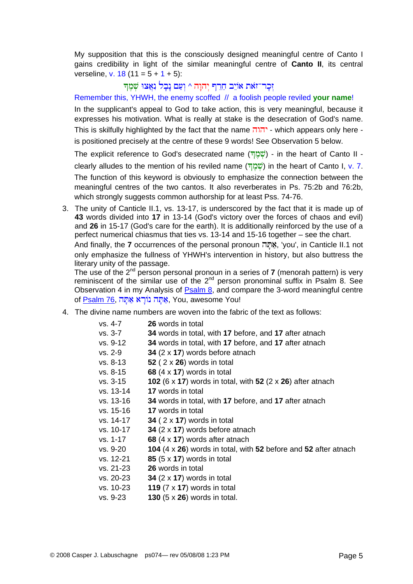My supposition that this is the consciously designed meaningful centre of Canto I gains credibility in light of the similar meaningful centre of **Canto II**, its central verseline, v. 18 (11 =  $5 + 1 + 5$ ):

### זְכַר־זֹאת אוֹיֶב חֱרֵף יִהוַה ^ וְעַם נַבָל נְאֲצוּ שְׁמֶךּ

Remember this, YHWH, the enemy scoffed // a foolish people reviled **your name**!

In the supplicant's appeal to God to take action, this is very meaningful, because it expresses his motivation. What is really at stake is the desecration of God's name. This is skilfully highlighted by the fact that the name  $\overline{\mathsf{min}}$  - which appears only here is positioned precisely at the centre of these 9 words! See Observation 5 below.

The explicit reference to God's desecrated name  $\overline{B}$  $\overline{B}$  - in the heart of Canto II -

clearly alludes to the mention of his reviled name (שְׁמָּךְ) in the heart of Canto I, v. 7. The function of this keyword is obviously to emphasize the connection between the meaningful centres of the two cantos. It also reverberates in Ps. 75:2b and 76:2b, which strongly suggests common authorship for at least Pss, 74-76.

3. The unity of Canticle II.1, vs. 13-17, is underscored by the fact that it is made up of **43** words divided into **17** in 13-14 (God's victory over the forces of chaos and evil) and **26** in 15-17 (God's care for the earth). It is additionally reinforced by the use of a perfect numerical chiasmus that ties vs. 13-14 and 15-16 together – see the chart. And finally, the **7** occurrences of the personal pronoun אֲתָּה, 'you', in Canticle II.1 not only emphasize the fullness of YHWH's intervention in history, but also buttress the literary unity of the passage.

The use of the 2nd person personal pronoun in a series of **7** (menorah pattern) is very reminiscent of the similar use of the  $2<sup>nd</sup>$  person pronominal suffix in Psalm 8. See Observation 4 in my Analysis of **Psalm 8**, and compare the 3-word meaningful centre of [Psalm 76](http://www.labuschagne.nl/ps076.pdf), אַתָּה נוֹרַא אַתָּה (You, awesome You!

4. The divine name numbers are woven into the fabric of the text as follows:

| vs. 4-7   | <b>26</b> words in total                                                      |
|-----------|-------------------------------------------------------------------------------|
| vs. 3-7   | 34 words in total, with 17 before, and 17 after atnach                        |
| vs. 9-12  | 34 words in total, with 17 before, and 17 after atnach                        |
| vs. 2-9   | 34 $(2 \times 17)$ words before at nach                                       |
| vs. 8-13  | 52 ( $2 \times 26$ ) words in total                                           |
| vs. 8-15  | 68 $(4 \times 17)$ words in total                                             |
| vs. 3-15  | 102 (6 x 17) words in total, with 52 (2 x 26) after at nach                   |
| vs. 13-14 | 17 words in total                                                             |
| vs. 13-16 | 34 words in total, with 17 before, and 17 after atnach                        |
| vs. 15-16 | <b>17</b> words in total                                                      |
| vs. 14-17 | 34 ( $2 \times 17$ ) words in total                                           |
| vs. 10-17 | 34 $(2 \times 17)$ words before at nach                                       |
| vs. 1-17  | 68 $(4 \times 17)$ words after atnach                                         |
| vs. 9-20  | <b>104</b> $(4 \times 26)$ words in total, with 52 before and 52 after atnach |
| vs. 12-21 | 85 $(5 \times 17)$ words in total                                             |
| vs. 21-23 | <b>26</b> words in total                                                      |
| vs. 20-23 | 34 $(2 \times 17)$ words in total                                             |
| vs. 10-23 | 119 $(7 \times 17)$ words in total                                            |
| vs. 9-23  | 130 $(5 \times 26)$ words in total.                                           |